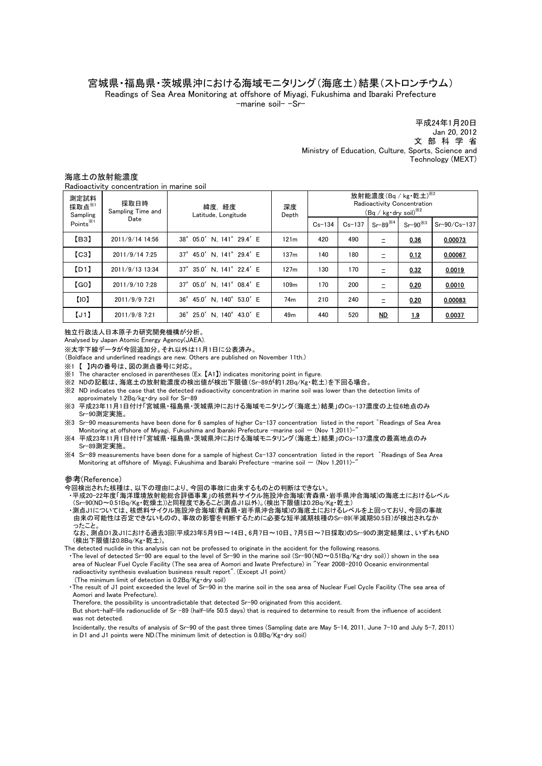### 宮城県・福島県・茨城県沖における海域モニタリング(海底土)結果(ストロンチウム) Readings of Sea Area Monitoring at offshore of Miyagi, Fukushima and Ibaraki Prefecture -marine soil- -Sr-

平成24年1月20日 文 部 科 学 省 Jan 20, 2012 Ministry of Education, Culture, Sports, Science and Technology (MEXT)

## 海底土の放射能濃度

Radioactivity concentration in marine soil

| 測定試料<br>採取点※1<br>Sampling | 採取日時<br>Sampling Time and<br>Date | 緯度,経度<br>Latitude, Longitude | 深度<br>Depth      | 放射能濃度 $(Bq / kg \cdot E)$ $\frac{1}{2}$<br>Radioactivity Concentration<br>$(Bq / kg \cdot dry \text{ soil})^{1/2}$ |            |                      |               |              |
|---------------------------|-----------------------------------|------------------------------|------------------|--------------------------------------------------------------------------------------------------------------------|------------|----------------------|---------------|--------------|
| Points <sup>*/1</sup>     |                                   |                              |                  | $Cs - 134$                                                                                                         | $Cs - 137$ | $Sr - 89^{\times 4}$ | $Sr-90^{3/3}$ | Sr-90/Cs-137 |
| [B3]                      | 2011/9/14 14:56                   | 38° 05.0' N. 141° 29.4' E    | 121m             | 420                                                                                                                | 490        | $\equiv$             | 0.36          | 0.00073      |
| [C3]                      | 2011/9/14 7:25                    | 37° 45.0' N. 141° 29.4' E    | 137m             | 140                                                                                                                | 180        | Ξ                    | 0.12          | 0.00067      |
| [D1]                      | 2011/9/13 13:34                   | 37° 35.0' N. 141° 22.4' E    | 127m             | 130                                                                                                                | 170        | Ξ                    | 0.32          | 0.0019       |
| [GO]                      | 2011/9/10 7:28                    | 37° 05.0' N. 141° 08.4' E    | 109 <sub>m</sub> | 170                                                                                                                | 200        | Ξ                    | 0.20          | 0.0010       |
| [10]                      | 2011/9/9 7:21                     | 36° 45.0' N. 140° 53.0' E    | 74 <sub>m</sub>  | 210                                                                                                                | 240        |                      | 0.20          | 0.00083      |
| [J1]                      | 2011/9/8 7:21                     | 36° 25.0' N. 140° 43.0' E    | 49 <sub>m</sub>  | 440                                                                                                                | 520        | $ND$                 | <u>1.9</u>    | 0.0037       |

### 独立行政法人日本原子力研究開発機構が分析。

Analysed by Japan Atomic Energy Agency(JAEA).

※太字下線データが今回追加分。それ以外は11月1日に公表済み。

(Boldface and underlined readings are new. Others are published on November 11th.)

- ※1 【 】内の番号は、図の測点番号に対応。
- ※1 The character enclosed in parentheses (Ex. 【A1】) indicates monitoring point in figure.
- ※2 NDの記載は、海底土の放射能濃度の検出値が検出下限値(Sr-89が約1.2Bq/Kg・乾土)を下回る場合。
- ※2 ND indicates the case that the detected radioactivity concentration in marine soil was lower than the detection limits of approximately 1.2Bq/kg・dry soil for Sr-89
- ※3 平成23年11月1日付け「宮城県・福島県・茨城県沖における海域モニタリング(海底土)結果」のCs-137濃度の上位6地点のみ Sr-90測定実施。
- ※3 Sr-90 measurements have been done for 6 samples of higher Cs-137 concentration listed in the report ゛Readings of Sea Area Monitoring at offshore of Miyagi, Fukushima and Ibaraki Prefecture -marine soil - (Nov 1,2011)-
- ※4 平成23年11月1日付け「宮城県・福島県・茨城県沖における海域モニタリング(海底土)結果」のCs-137濃度の最高地点のみ Sr-89測定実施。
- ※4 Sr-89 measurements have been done for a sample of highest Cs-137 concentration listed in the report ゛Readings of Sea Area Monitoring at offshore of Miyagi, Fukushima and Ibaraki Prefecture -marine soil  $-$  (Nov 1,2011)-

### 参考(Reference)

- 今回検出された核種は、以下の理由により、今回の事故に由来するものとの判断はできない。
- ・平成20-22年度「海洋環境放射能総合評価事業」の核燃料サイクル施設沖合海域(青森県・岩手県沖合海域)の海底土におけるレベル (Sr-90(ND~0.51Bq/Kg・乾燥土))と同程度であること(測点J1以外)。(検出下限値は0.2Bq/Kg・乾土)
- ・測点J1については、核燃料サイクル施設沖合海域(青森県・岩手県沖合海域)の海底土におけるレベルを上回っており、今回の事故 ったこと。 由来の可能性は否定できないものの、事故の影響を判断するために必要な短半減期核種のSr-89(半減期50.5日)が検出されなか

 (検出下限値は0.8Bq/Kg・乾土)。 なお、測点D1及J1における過去3回(平成23年5月9日~14日、6月7日~10日、7月5日~7日採取)のSr-90の測定結果は、いずれもND

The detected nuclide in this analysis can not be professed to originate in the accident for the following reasons.

- area of Nuclear Fuel Cycle Facility (The sea area of Aomori and Iwate Prefecture) in "Year 2008-2010 Oceanic environmental radioactivity synthesis evaluation business result report". (Except J1 point) ・The level of detected Sr-90 are equal to the level of Sr-90 in the marine soil (Sr-90(ND~0.51Bq/Kg・dry soil)) shown in the sea
- (The minimum limit of detection is 0.2Bq/Kg・dry soil)
- ・The result of J1 point exceeded the level of Sr-90 in the marine soil in the sea area of Nuclear Fuel Cycle Facility (The sea area of Aomori and Iwate Prefecture).

Therefore, the possibility is uncontradictable that detected Sr-90 originated from this accident.

 But short-half-life radionuclide of Sr -89 (half-life 50.5 days) that is required to determine to result from the influence of accident was not detected.

 Incidentally, the results of analysis of Sr-90 of the past three times (Sampling date are May 5-14, 2011, June 7-10 and July 5-7, 2011) in D1 and J1 points were ND.(The minimum limit of detection is 0.8Bq/Kg・dry soil)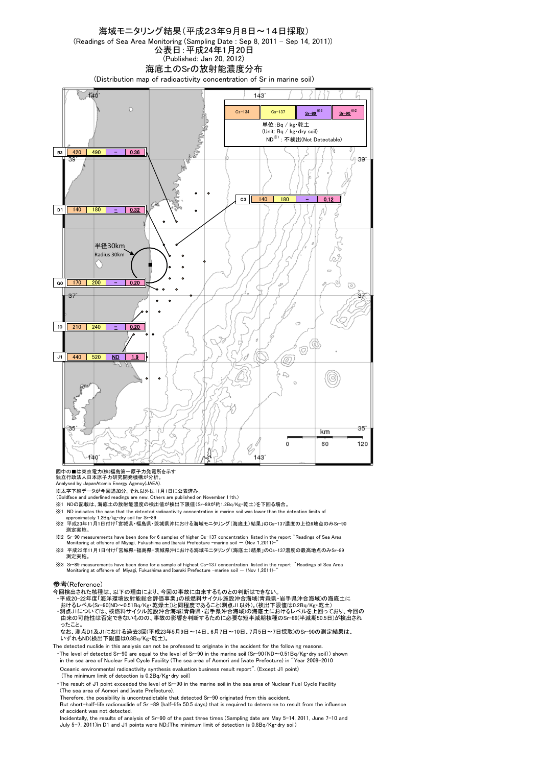

### 図中の■は東京電力(株)福島第一原子力発電所を示す

||凶干の■は未永電力(林州副第一旅」力光電)<br>|独立行政法人日本原子力研究開発機構が分析。

Analysed by JapanAtomic Energy Agency(JAEA).

※太字下線データが今回追加分。それ以外は11月1日に公表済み。

(Boldface and underlined readings are new. Others are published on November 11th.)

- ※1 NDの記載は、海底土の放射能濃度の検出値が検出下限値(Sr-89が約1.2Bq/Kg・乾土)を下回る場合。
- ※1 ND indicates the case that the detected radioactivity concentration in marine soil was lower than the detection limits of approximately 1.2Bq/kg・dry soil for Sr-89 ※2 平成23年11月1日付け「宮城県・福島県・茨城県沖における海域モニタリング(海底土)結果」のCs-137濃度の上位6地点のみSr-90
- 測定実施。
- ※2 Sr-90 measurements have been done for 6 samples of higher Cs-137 concentration listed in the report ゛Readings of Sea Area Monitoring at offshore of Miyagi, Fukushima and Ibaraki Prefecture -marine soil - (Nov 1,2011)-
- ※3 平成23年11月1日付け「宮城県・福島県・茨城県沖における海域モニタリング(海底土)結果」のCs-137濃度の最高地点のみSr-89 測定実施。
- ※3 Sr-89 measurements have been done for a sample of highest Cs-137 concentration listed in the report ゛Readings of Sea Area Monitoring at offshore of Miyagi, Fukushima and Ibaraki Prefecture -marine soil  $-$  (Nov 1,2011)-

### 参考(Reference)

今回検出された核種は、以下の理由により、今回の事故に由来するものとの判断はできない。

・平成20-22年度「海洋環境放射能総合評価事業」の核燃料サイクル施設沖合海域(青森県・岩手県沖合海域)の海底土に おけるレベル(Sr-90(ND~0.51Bq/Kg・乾燥土))と同程度であること(測点J1以外)。(検出下限値は0.2Bq/Kg・乾土)

 ・測点J1については、核燃料サイクル施設沖合海域(青森県・岩手県沖合海域)の海底土におけるレベルを上回っており、今回の 由来の可能性は否定できないものの、事故の影響を判断するために必要な短半減期核種のSr-89(半減期50.5日)が検出され ったこと。

# なお、測点D1及J1における過去3回(平成23年5月9日~14日、6月7日~10日、7月5日~7日採取)のSr-90の測定結果は、 いずれもND(検出下限値は0.8Bq/Kg・乾土)。

The detected nuclide in this analysis can not be professed to originate in the accident for the following reasons. ・The level of detected Sr-90 are equal to the level of Sr-90 in the marine soil (Sr-90(ND~0.51Bq/Kg・dry soil)) shown

 in the sea area of Nuclear Fuel Cycle Facility (The sea area of Aomori and Iwate Prefecture) in "Year 2008-2010 Oceanic environmental radioactivity synthesis evaluation business result report". (Except J1 point)

(The minimum limit of detection is 0.2Bq/Kg・dry soil)

 ・The result of J1 point exceeded the level of Sr-90 in the marine soil in the sea area of Nuclear Fuel Cycle Facility (The sea area of Aomori and Iwate Prefecture).

Therefore, the possibility is uncontradictable that detected Sr-90 originated from this accident.

 But short-half-life radionuclide of Sr -89 (half-life 50.5 days) that is required to determine to result from the influence of accident was not detected.

 Incidentally, the results of analysis of Sr-90 of the past three times (Sampling date are May 5-14, 2011, June 7-10 and July 5-7, 2011)in D1 and J1 points were ND.(The minimum limit of detection is 0.8Bq/Kg・dry soil)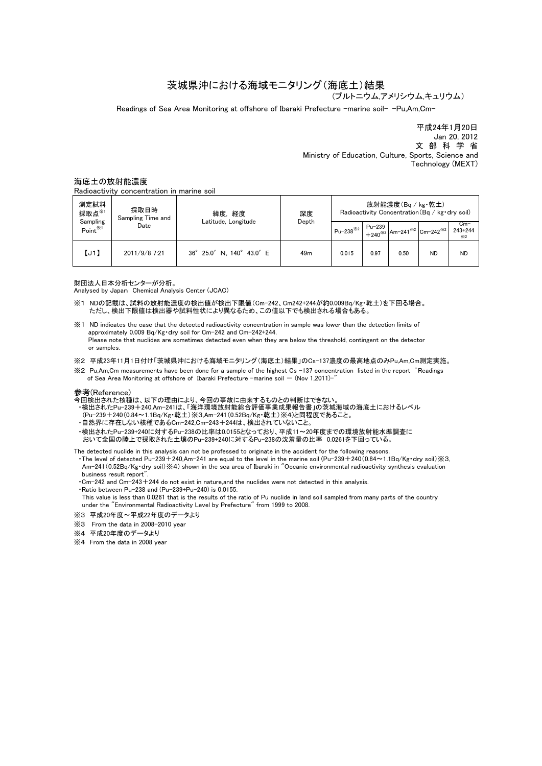## 茨城県沖における海域モニタリング(海底土)結果

(プルトニウム,アメリシウム,キュリウム)

Readings of Sea Area Monitoring at offshore of Ibaraki Prefecture -marine soil- -Pu,Am,Cm-

 Ministry of Education, Culture, Sports, Science and Technology (MEXT) 平成24年1月20日 文 部 科 学 省 Jan 20, 2012

### 海底土の放射能濃度

Radioactivity concentration in marine soil

| 測定試料<br>採取点※1<br>Sampling<br>$Point^{\mathcal{X}1}$ | 採取日時<br>Sampling Time and<br>Date | 緯度,経度<br>Latitude, Longitude | 深度              | 放射能濃度(Bq / kg·乾土)<br>Radioactivity Concentration (Bq / kg · dry soil)                                                                             |      |      |           |                                  |
|-----------------------------------------------------|-----------------------------------|------------------------------|-----------------|---------------------------------------------------------------------------------------------------------------------------------------------------|------|------|-----------|----------------------------------|
|                                                     |                                   |                              | Depth           | $\left  \begin{array}{c} p_{u-238}^{max} \\ p_{240}^{max} \end{array} \right $ $P_{240}^{max}$ $\left  A_{m-241}^{max} \right $ $C_{m-242}^{max}$ |      |      |           | ∪m−<br>$243 + 244$<br>$\times 2$ |
| 【J1】                                                | 2011/9/8 7:21                     | 36° 25.0' N. 140° 43.0' E    | 49 <sub>m</sub> | 0.015                                                                                                                                             | 0.97 | 0.50 | <b>ND</b> | <b>ND</b>                        |

### 財団法人日本分析センターが分析。

Analysed by Japan Chemical Analysis Center (JCAC)

- ※1 NDの記載は、試料の放射能濃度の検出値が検出下限値(Cm-242、Cm242+244が約0.009Bq/Kg・乾土)を下回る場合。 ただし、検出下限値は検出器や試料性状により異なるため、この値以下でも検出される場合もある。
- ※1 ND indicates the case that the detected radioactivity concentration in sample was lower than the detection limits of approximately 0.009 Bq/Kg・dry soil for Cm-242 and Cm-242+244. Please note that nuclides are sometimes detected even when they are below the threshold, contingent on the detector or samples.

※2 平成23年11月1日付け「茨城県沖における海域モニタリング(海底土)結果」のCs-137濃度の最高地点のみPu,Am,Cm測定実施。

※2 Pu,Am,Cm measurements have been done for a sample of the highest Cs -137 concentration listed in the report ゛Readings of Sea Area Monitoring at offshore of Ibaraki Prefecture -marine soil  $-$  (Nov 1,2011)-

### 参考(Reference)

- 今回検出された核種は、以下の理由により、今回の事故に由来するものとの判断はできない。
	- ・検出されたPu-239+240,Am-241は、「海洋環境放射能総合評価事業成果報告書」の茨城海域の海底土におけるレベル
	- (Pu-239+240(0.84~1.1Bq/Kg・乾土)※3,Am-241(0.52Bq/Kg・乾土)※4)と同程度であること。
	- ・自然界に存在しない核種であるCm-242,Cm-243+244は、検出されていないこと。

 ・検出されたPu-239+240に対するPu-238の比率は0.0155となっており、平成11~20年度までの環境放射能水準調査に おいて全国の陸上で採取された土壌のPu-239+240に対するPu-238の沈着量の比率 0.0261を下回っている。

The detected nuclide in this analysis can not be professed to originate in the accident for the following reasons

•The level of detected Pu-239+240,Am-241 are equal to the level in the marine soil (Pu-239+240(0.84~1.1Bq/Kg•dry soil)※3, Am-241(0.52Bq/Kg・dry soil)※4) shown in the sea area of Ibaraki in "Oceanic environmental radioactivity synthesis evaluation business result report

・Cm-242 and Cm-243+244 do not exist in nature,and the nuclides were not detected in this analysis.

・Ratio between Pu-238 and (Pu-239+Pu-240) is 0.0155.

 This value is less than 0.0261 that is the results of the ratio of Pu nuclide in land soil sampled from many parts of the country under the "Environmental Radioactivity Level by Prefecture" from 1999 to 2008.

- ※3 平成20年度~平成22年度のデータより
- ※3 From the data in 2008-2010 year
- ※4 平成20年度のデータより
- ※4 From the data in 2008 year